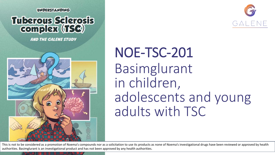**UNDERSTANDING** 

## **Tuberous Sclerosis** complex (15C)

**AND THE GALENE STUDY** 





## NOE-TSC-201 Basimglurant in children, adolescents and young adults with TSC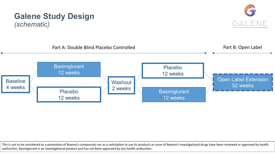

GALENE

**Galene Study Design** 

*(schematic)*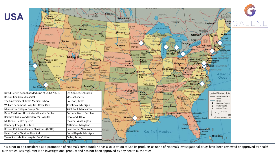